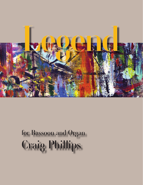

## for Bassoon and Organ Craig Phillips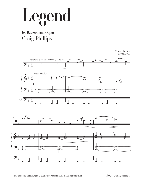

for Bassoon and Organ Craig Phillips





Craig Phillips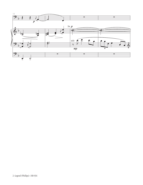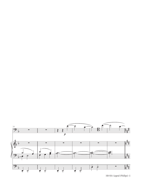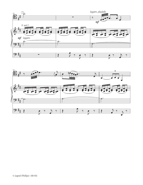

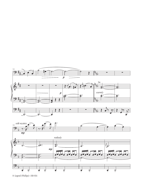

8-Legend (Phillips)-160-934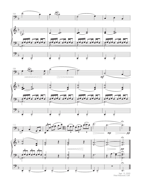



West Hollywood, Calif.